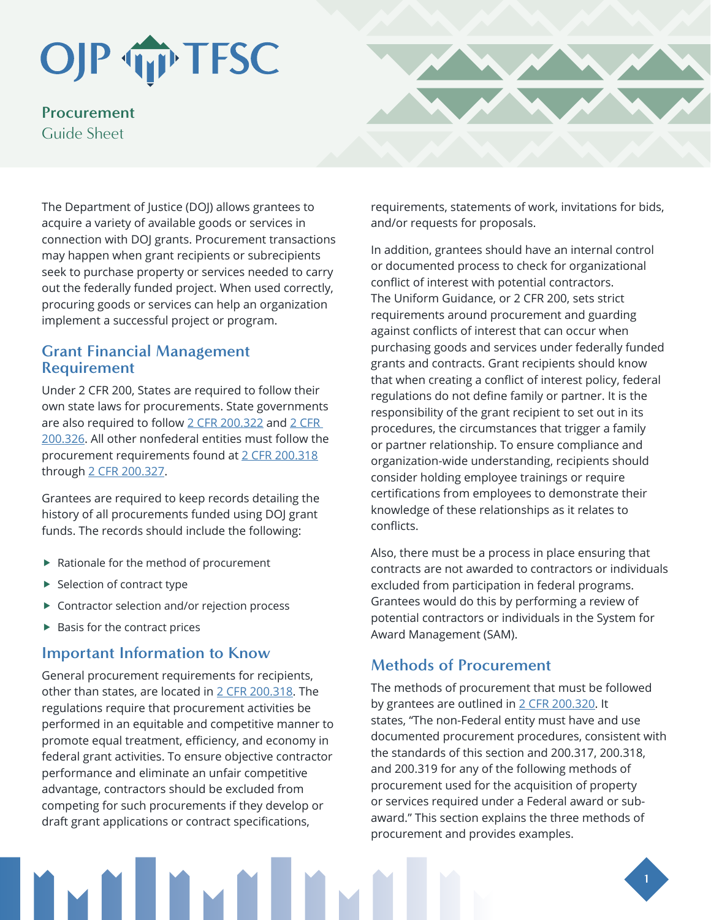# OJP TP TFSC

**Procurement**  Guide Sheet

The Department of Justice (DOJ) allows grantees to acquire a variety of available goods or services in connection with DOJ grants. Procurement transactions may happen when grant recipients or subrecipients seek to purchase property or services needed to carry out the federally funded project. When used correctly, procuring goods or services can help an organization implement a successful project or program.

#### **Grant Financial Management Requirement**

Under 2 CFR 200, States are required to follow their own state laws for procurements. State governments are also required to follow [2 CFR 200.322](https://www.ecfr.gov/cgi-bin/retrieveECFR?gp=&SID=8de1509dffa794102d431d13e52aa81a&mc=true&r=SECTION&n=se2.1.200_1322) and [2 CFR](https://www.ecfr.gov/cgi-bin/text-idx?node=sp2.1.200.d&rgn=div6#se2.1.200_1326)  [200.326.](https://www.ecfr.gov/cgi-bin/text-idx?node=sp2.1.200.d&rgn=div6#se2.1.200_1326) All other nonfederal entities must follow the procurement requirements found at [2 CFR 200.318](https://www.govinfo.gov/app/details/CFR-2014-title2-vol1/CFR-2014-title2-vol1-sec200-318) through [2 CFR 200.327.](https://www.ecfr.gov/cgi-bin/text-idx?node=sp2.1.200.d&rgn=div6#se2.1.200_1326)

Grantees are required to keep records detailing the history of all procurements funded using DOJ grant funds. The records should include the following:

- ▶ Rationale for the method of procurement
- $\blacktriangleright$  Selection of contract type
- ▶ Contractor selection and/or rejection process
- $\blacktriangleright$  Basis for the contract prices

#### **Important Information to Know**

General procurement requirements for recipients, other than states, are located in [2 CFR 200.318](https://www.govinfo.gov/app/details/CFR-2014-title2-vol1/CFR-2014-title2-vol1-sec200-318). The regulations require that procurement activities be performed in an equitable and competitive manner to promote equal treatment, efficiency, and economy in federal grant activities. To ensure objective contractor performance and eliminate an unfair competitive advantage, contractors should be excluded from competing for such procurements if they develop or draft grant applications or contract specifications,



In addition, grantees should have an internal control or documented process to check for organizational conflict of interest with potential contractors. The Uniform Guidance, or 2 CFR 200, sets strict requirements around procurement and guarding against conflicts of interest that can occur when purchasing goods and services under federally funded grants and contracts. Grant recipients should know that when creating a conflict of interest policy, federal regulations do not define family or partner. It is the responsibility of the grant recipient to set out in its procedures, the circumstances that trigger a family or partner relationship. To ensure compliance and organization-wide understanding, recipients should consider holding employee trainings or require certifications from employees to demonstrate their knowledge of these relationships as it relates to conflicts.

Also, there must be a process in place ensuring that contracts are not awarded to contractors or individuals excluded from participation in federal programs. Grantees would do this by performing a review of potential contractors or individuals in the System for Award Management (SAM).

## **Methods of Procurement**

The methods of procurement that must be followed by grantees are outlined in [2 CFR 200.320.](https://www.govinfo.gov/content/pkg/CFR-2016-title2-vol1/pdf/CFR-2016-title2-vol1-sec200-320.pdf) It states, "The non-Federal entity must have and use documented procurement procedures, consistent with the standards of this section and 200.317, 200.318, and 200.319 for any of the following methods of procurement used for the acquisition of property or services required under a Federal award or subaward." This section explains the three methods of procurement and provides examples.

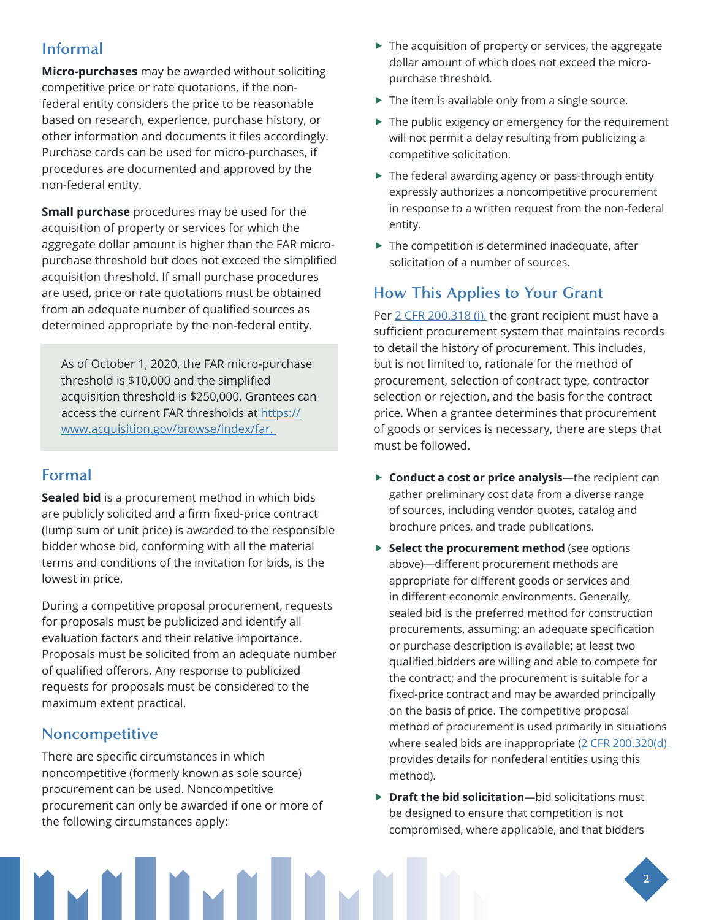#### **Informal**

**Micro-purchases** may be awarded without soliciting competitive price or rate quotations, if the nonfederal entity considers the price to be reasonable based on research, experience, purchase history, or other information and documents it files accordingly. Purchase cards can be used for micro-purchases, if procedures are documented and approved by the non-federal entity.

**Small purchase** procedures may be used for the acquisition of property or services for which the aggregate dollar amount is higher than the FAR micropurchase threshold but does not exceed the simplified acquisition threshold. If small purchase procedures are used, price or rate quotations must be obtained from an adequate number of qualified sources as determined appropriate by the non-federal entity.

As of October 1, 2020, the FAR micro-purchase threshold is \$10,000 and the simplified acquisition threshold is \$250,000. Grantees can access the current FAR thresholds a[t https://]( https://www.acquisition.gov/browse/index/far) [www.acquisition.gov/browse/index/far.]( https://www.acquisition.gov/browse/index/far) 

## **Formal**

**Sealed bid** is a procurement method in which bids are publicly solicited and a firm fixed-price contract (lump sum or unit price) is awarded to the responsible bidder whose bid, conforming with all the material terms and conditions of the invitation for bids, is the lowest in price.

During a competitive proposal procurement, requests for proposals must be publicized and identify all evaluation factors and their relative importance. Proposals must be solicited from an adequate number of qualified offerors. Any response to publicized requests for proposals must be considered to the maximum extent practical.

## **Noncompetitive**

There are specific circumstances in which noncompetitive (formerly known as sole source) procurement can be used. Noncompetitive procurement can only be awarded if one or more of the following circumstances apply:

- $\blacktriangleright$  The acquisition of property or services, the aggregate dollar amount of which does not exceed the micropurchase threshold.
- ▶ The item is available only from a single source.
- $\blacktriangleright$  The public exigency or emergency for the requirement will not permit a delay resulting from publicizing a competitive solicitation.
- ▶ The federal awarding agency or pass-through entity expressly authorizes a noncompetitive procurement in response to a written request from the non-federal entity.
- $\blacktriangleright$  The competition is determined inadequate, after solicitation of a number of sources.

# **How This Applies to Your Grant**

Per [2 CFR 200.318 \(i\),](https://www.govinfo.gov/content/pkg/CFR-2014-title2-vol1/pdf/CFR-2014-title2-vol1-sec200-318.pdf) the grant recipient must have a sufficient procurement system that maintains records to detail the history of procurement. This includes, but is not limited to, rationale for the method of procurement, selection of contract type, contractor selection or rejection, and the basis for the contract price. When a grantee determines that procurement of goods or services is necessary, there are steps that must be followed.

- **Conduct a cost or price analysis**—the recipient can gather preliminary cost data from a diverse range of sources, including vendor quotes, catalog and brochure prices, and trade publications.
- **Select the procurement method** (see options above)—different procurement methods are appropriate for different goods or services and in different economic environments. Generally, sealed bid is the preferred method for construction procurements, assuming: an adequate specification or purchase description is available; at least two qualified bidders are willing and able to compete for the contract; and the procurement is suitable for a fixed-price contract and may be awarded principally on the basis of price. The competitive proposal method of procurement is used primarily in situations where sealed bids are inappropriate (2 CFR 200.320(d) provides details for nonfederal entities using this method).
- ▶ Draft the bid solicitation—bid solicitations must be designed to ensure that competition is not compromised, where applicable, and that bidders

**2**